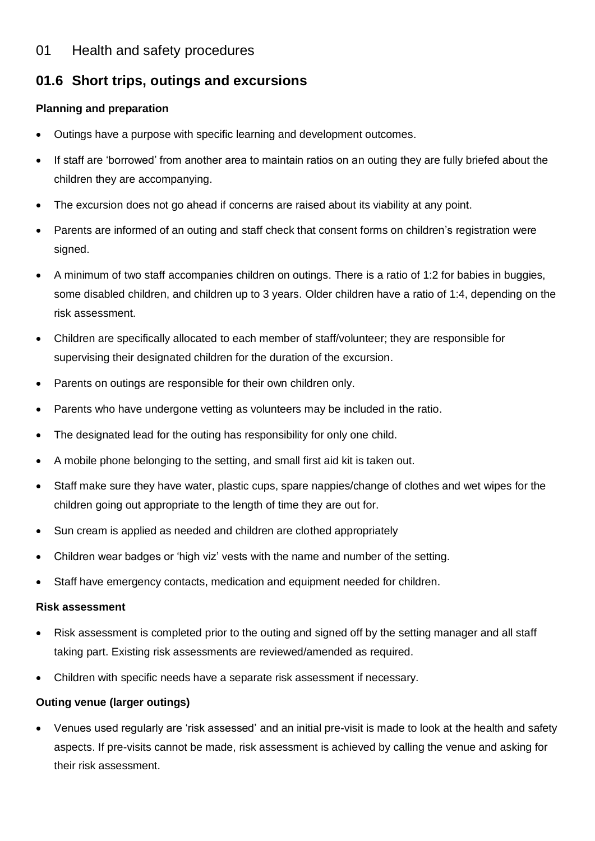## 01 Health and safety procedures

# **01.6 Short trips, outings and excursions**

### **Planning and preparation**

- Outings have a purpose with specific learning and development outcomes.
- If staff are 'borrowed' from another area to maintain ratios on an outing they are fully briefed about the children they are accompanying.
- The excursion does not go ahead if concerns are raised about its viability at any point.
- Parents are informed of an outing and staff check that consent forms on children's registration were signed.
- A minimum of two staff accompanies children on outings. There is a ratio of 1:2 for babies in buggies, some disabled children, and children up to 3 years. Older children have a ratio of 1:4, depending on the risk assessment.
- Children are specifically allocated to each member of staff/volunteer; they are responsible for supervising their designated children for the duration of the excursion.
- Parents on outings are responsible for their own children only.
- Parents who have undergone vetting as volunteers may be included in the ratio.
- The designated lead for the outing has responsibility for only one child.
- A mobile phone belonging to the setting, and small first aid kit is taken out.
- Staff make sure they have water, plastic cups, spare nappies/change of clothes and wet wipes for the children going out appropriate to the length of time they are out for.
- Sun cream is applied as needed and children are clothed appropriately
- Children wear badges or 'high viz' vests with the name and number of the setting.
- Staff have emergency contacts, medication and equipment needed for children.

#### **Risk assessment**

- Risk assessment is completed prior to the outing and signed off by the setting manager and all staff taking part. Existing risk assessments are reviewed/amended as required.
- Children with specific needs have a separate risk assessment if necessary.

#### **Outing venue (larger outings)**

• Venues used regularly are 'risk assessed' and an initial pre-visit is made to look at the health and safety aspects. If pre-visits cannot be made, risk assessment is achieved by calling the venue and asking for their risk assessment.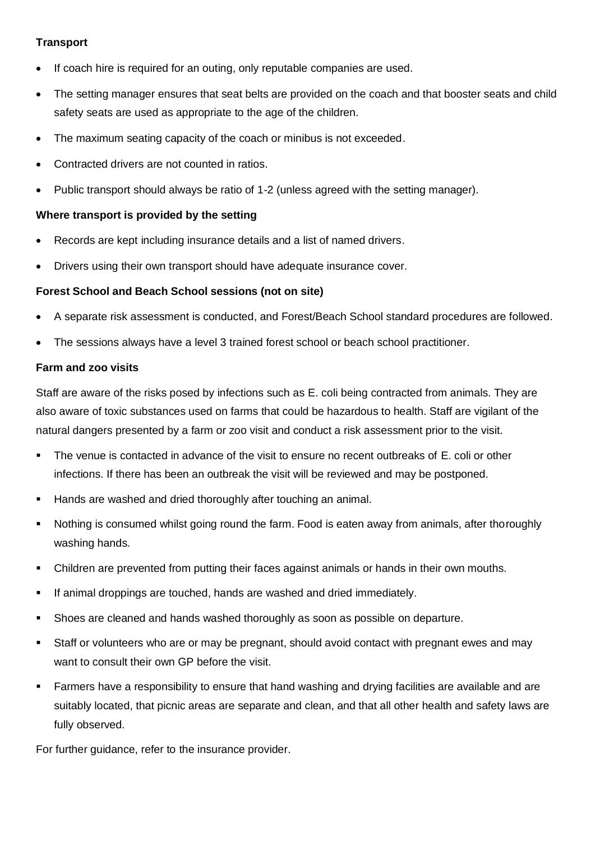#### **Transport**

- If coach hire is required for an outing, only reputable companies are used.
- The setting manager ensures that seat belts are provided on the coach and that booster seats and child safety seats are used as appropriate to the age of the children.
- The maximum seating capacity of the coach or minibus is not exceeded.
- Contracted drivers are not counted in ratios.
- Public transport should always be ratio of 1-2 (unless agreed with the setting manager).

#### **Where transport is provided by the setting**

- Records are kept including insurance details and a list of named drivers.
- Drivers using their own transport should have adequate insurance cover.

#### **Forest School and Beach School sessions (not on site)**

- A separate risk assessment is conducted, and Forest/Beach School standard procedures are followed.
- The sessions always have a level 3 trained forest school or beach school practitioner.

#### **Farm and zoo visits**

Staff are aware of the risks posed by infections such as E. coli being contracted from animals. They are also aware of toxic substances used on farms that could be hazardous to health. Staff are vigilant of the natural dangers presented by a farm or zoo visit and conduct a risk assessment prior to the visit.

- The venue is contacted in advance of the visit to ensure no recent outbreaks of E. coli or other infections. If there has been an outbreak the visit will be reviewed and may be postponed.
- Hands are washed and dried thoroughly after touching an animal.
- Nothing is consumed whilst going round the farm. Food is eaten away from animals, after thoroughly washing hands.
- **•** Children are prevented from putting their faces against animals or hands in their own mouths.
- If animal droppings are touched, hands are washed and dried immediately.
- Shoes are cleaned and hands washed thoroughly as soon as possible on departure.
- Staff or volunteers who are or may be pregnant, should avoid contact with pregnant ewes and may want to consult their own GP before the visit.
- **•** Farmers have a responsibility to ensure that hand washing and drying facilities are available and are suitably located, that picnic areas are separate and clean, and that all other health and safety laws are fully observed.

For further guidance, refer to the insurance provider.